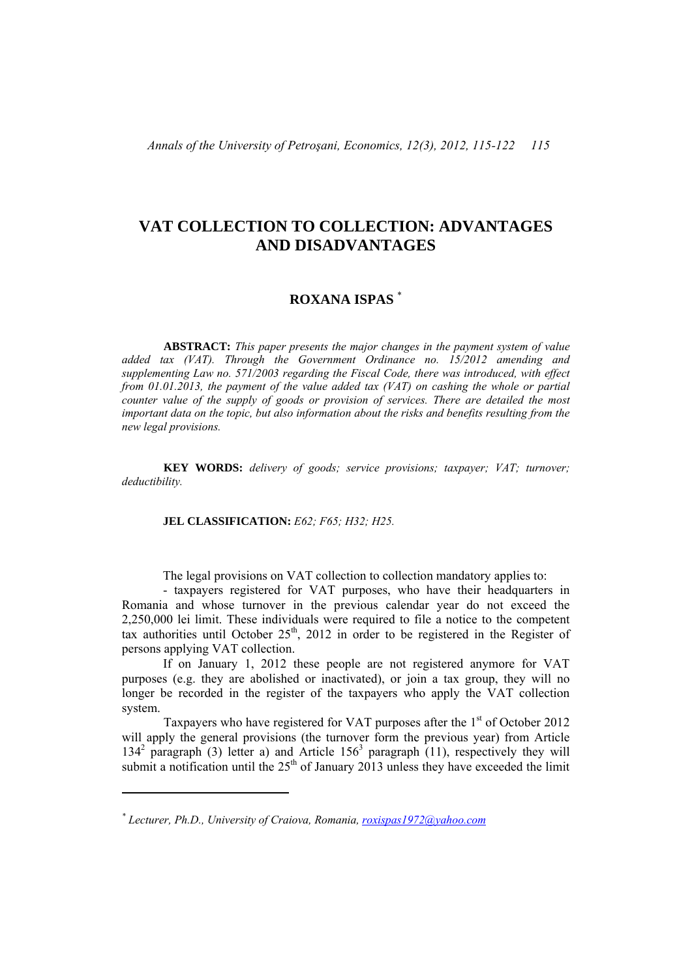# **VAT COLLECTION TO COLLECTION: ADVANTAGES AND DISADVANTAGES**

## **ROXANA ISPAS** \*

**ABSTRACT:** *This paper presents the major changes in the payment system of value added tax (VAT). Through the Government Ordinance no. 15/2012 amending and supplementing Law no. 571/2003 regarding the Fiscal Code, there was introduced, with effect from 01.01.2013, the payment of the value added tax (VAT) on cashing the whole or partial counter value of the supply of goods or provision of services. There are detailed the most important data on the topic, but also information about the risks and benefits resulting from the new legal provisions.*

**KEY WORDS:** *delivery of goods; service provisions; taxpayer; VAT; turnover; deductibility.* 

#### **JEL CLASSIFICATION:** *E62; F65; H32; H25.*

The legal provisions on VAT collection to collection mandatory applies to:

- taxpayers registered for VAT purposes, who have their headquarters in Romania and whose turnover in the previous calendar year do not exceed the 2,250,000 lei limit. These individuals were required to file a notice to the competent tax authorities until October  $25<sup>th</sup>$ , 2012 in order to be registered in the Register of persons applying VAT collection.

If on January 1, 2012 these people are not registered anymore for VAT purposes (e.g. they are abolished or inactivated), or join a tax group, they will no longer be recorded in the register of the taxpayers who apply the VAT collection system.

Taxpayers who have registered for VAT purposes after the  $1<sup>st</sup>$  of October 2012 will apply the general provisions (the turnover form the previous year) from Article 134<sup>2</sup> paragraph (3) letter a) and Article  $156<sup>3</sup>$  paragraph (11), respectively they will submit a notification until the  $25<sup>th</sup>$  of January 2013 unless they have exceeded the limit

*<sup>\*</sup> Lecturer, Ph.D., University of Craiova, Romania, roxispas1972@yahoo.com*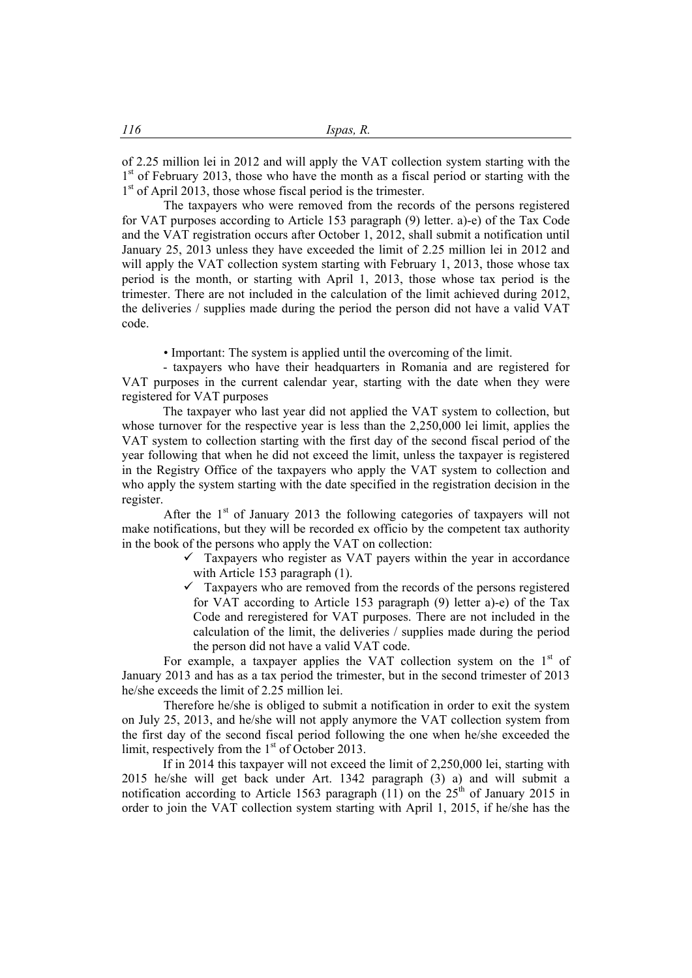of 2.25 million lei in 2012 and will apply the VAT collection system starting with the  $1<sup>st</sup>$  of February 2013, those who have the month as a fiscal period or starting with the  $1<sup>st</sup>$  of April 2013, those whose fiscal period is the trimester.

The taxpayers who were removed from the records of the persons registered for VAT purposes according to Article 153 paragraph (9) letter. a)-e) of the Tax Code and the VAT registration occurs after October 1, 2012, shall submit a notification until January 25, 2013 unless they have exceeded the limit of 2.25 million lei in 2012 and will apply the VAT collection system starting with February 1, 2013, those whose tax period is the month, or starting with April 1, 2013, those whose tax period is the trimester. There are not included in the calculation of the limit achieved during 2012, the deliveries / supplies made during the period the person did not have a valid VAT code.

• Important: The system is applied until the overcoming of the limit.

- taxpayers who have their headquarters in Romania and are registered for VAT purposes in the current calendar year, starting with the date when they were registered for VAT purposes

The taxpayer who last year did not applied the VAT system to collection, but whose turnover for the respective year is less than the 2,250,000 lei limit, applies the VAT system to collection starting with the first day of the second fiscal period of the year following that when he did not exceed the limit, unless the taxpayer is registered in the Registry Office of the taxpayers who apply the VAT system to collection and who apply the system starting with the date specified in the registration decision in the register.

After the  $1<sup>st</sup>$  of January 2013 the following categories of taxpayers will not make notifications, but they will be recorded ex officio by the competent tax authority in the book of the persons who apply the VAT on collection:

> $\checkmark$  Taxpayers who register as VAT payers within the year in accordance with Article 153 paragraph (1).

> $\checkmark$  Taxpayers who are removed from the records of the persons registered for VAT according to Article 153 paragraph (9) letter a)-e) of the Tax Code and reregistered for VAT purposes. There are not included in the calculation of the limit, the deliveries / supplies made during the period the person did not have a valid VAT code.

For example, a taxpayer applies the VAT collection system on the  $1<sup>st</sup>$  of January 2013 and has as a tax period the trimester, but in the second trimester of 2013 he/she exceeds the limit of 2.25 million lei.

Therefore he/she is obliged to submit a notification in order to exit the system on July 25, 2013, and he/she will not apply anymore the VAT collection system from the first day of the second fiscal period following the one when he/she exceeded the limit, respectively from the  $1<sup>st</sup>$  of October 2013.

If in 2014 this taxpayer will not exceed the limit of 2,250,000 lei, starting with 2015 he/she will get back under Art. 1342 paragraph (3) a) and will submit a notification according to Article 1563 paragraph (11) on the  $25<sup>th</sup>$  of January 2015 in order to join the VAT collection system starting with April 1, 2015, if he/she has the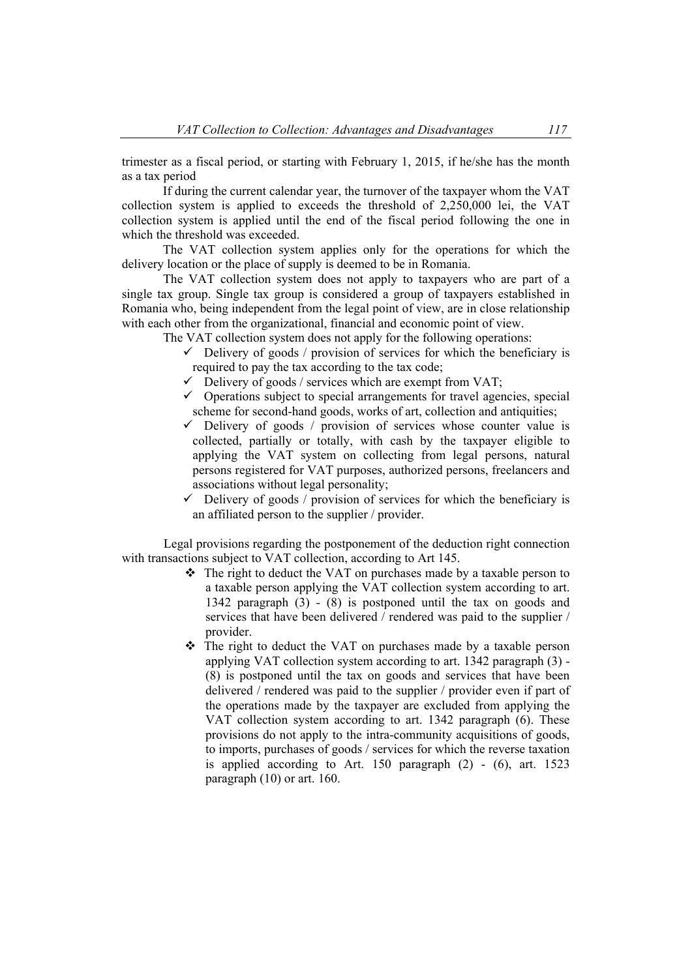trimester as a fiscal period, or starting with February 1, 2015, if he/she has the month as a tax period

If during the current calendar year, the turnover of the taxpayer whom the VAT collection system is applied to exceeds the threshold of 2,250,000 lei, the VAT collection system is applied until the end of the fiscal period following the one in which the threshold was exceeded.

The VAT collection system applies only for the operations for which the delivery location or the place of supply is deemed to be in Romania.

The VAT collection system does not apply to taxpayers who are part of a single tax group. Single tax group is considered a group of taxpayers established in Romania who, being independent from the legal point of view, are in close relationship with each other from the organizational, financial and economic point of view.

The VAT collection system does not apply for the following operations:

- $\checkmark$  Delivery of goods / provision of services for which the beneficiary is required to pay the tax according to the tax code;
- $\checkmark$  Delivery of goods / services which are exempt from VAT;
- $\checkmark$  Operations subject to special arrangements for travel agencies, special scheme for second-hand goods, works of art, collection and antiquities;
- $\checkmark$  Delivery of goods / provision of services whose counter value is collected, partially or totally, with cash by the taxpayer eligible to applying the VAT system on collecting from legal persons, natural persons registered for VAT purposes, authorized persons, freelancers and associations without legal personality;
- $\checkmark$  Delivery of goods / provision of services for which the beneficiary is an affiliated person to the supplier / provider.

Legal provisions regarding the postponement of the deduction right connection with transactions subject to VAT collection, according to Art 145.

- $\triangle$  The right to deduct the VAT on purchases made by a taxable person to a taxable person applying the VAT collection system according to art. 1342 paragraph (3) - (8) is postponed until the tax on goods and services that have been delivered / rendered was paid to the supplier / provider.
- \* The right to deduct the VAT on purchases made by a taxable person applying VAT collection system according to art. 1342 paragraph (3) - (8) is postponed until the tax on goods and services that have been delivered / rendered was paid to the supplier / provider even if part of the operations made by the taxpayer are excluded from applying the VAT collection system according to art. 1342 paragraph (6). These provisions do not apply to the intra-community acquisitions of goods, to imports, purchases of goods / services for which the reverse taxation is applied according to Art. 150 paragraph  $(2)$  -  $(6)$ , art. 1523 paragraph (10) or art. 160.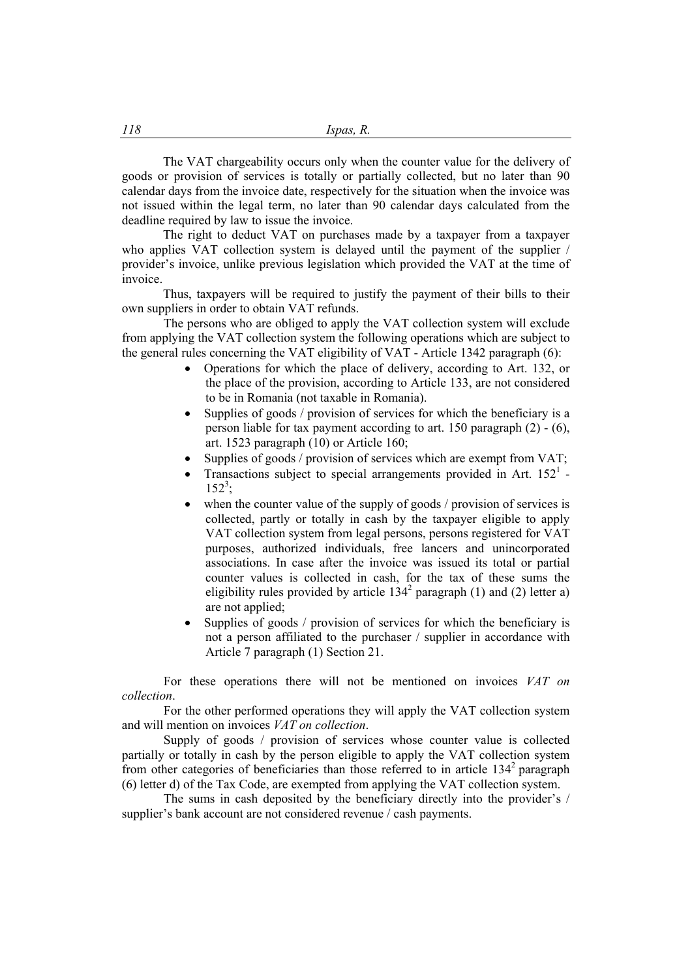The VAT chargeability occurs only when the counter value for the delivery of goods or provision of services is totally or partially collected, but no later than 90 calendar days from the invoice date, respectively for the situation when the invoice was not issued within the legal term, no later than 90 calendar days calculated from the deadline required by law to issue the invoice.

The right to deduct VAT on purchases made by a taxpayer from a taxpayer who applies VAT collection system is delayed until the payment of the supplier / provider's invoice, unlike previous legislation which provided the VAT at the time of invoice.

Thus, taxpayers will be required to justify the payment of their bills to their own suppliers in order to obtain VAT refunds.

The persons who are obliged to apply the VAT collection system will exclude from applying the VAT collection system the following operations which are subject to the general rules concerning the VAT eligibility of VAT - Article 1342 paragraph (6):

- Operations for which the place of delivery, according to Art. 132, or the place of the provision, according to Article 133, are not considered to be in Romania (not taxable in Romania).
- Supplies of goods / provision of services for which the beneficiary is a person liable for tax payment according to art. 150 paragraph (2) - (6), art. 1523 paragraph (10) or Article 160;
- Supplies of goods / provision of services which are exempt from VAT;
- Transactions subject to special arrangements provided in Art.  $152^1$  - $152^3$ ;
- when the counter value of the supply of goods / provision of services is collected, partly or totally in cash by the taxpayer eligible to apply VAT collection system from legal persons, persons registered for VAT purposes, authorized individuals, free lancers and unincorporated associations. In case after the invoice was issued its total or partial counter values is collected in cash, for the tax of these sums the eligibility rules provided by article  $134<sup>2</sup>$  paragraph (1) and (2) letter a) are not applied;
- Supplies of goods / provision of services for which the beneficiary is not a person affiliated to the purchaser / supplier in accordance with Article 7 paragraph (1) Section 21.

For these operations there will not be mentioned on invoices *VAT on collection*.

For the other performed operations they will apply the VAT collection system and will mention on invoices *VAT on collection*.

Supply of goods / provision of services whose counter value is collected partially or totally in cash by the person eligible to apply the VAT collection system from other categories of beneficiaries than those referred to in article  $134<sup>2</sup>$  paragraph (6) letter d) of the Tax Code, are exempted from applying the VAT collection system.

The sums in cash deposited by the beneficiary directly into the provider's / supplier's bank account are not considered revenue / cash payments.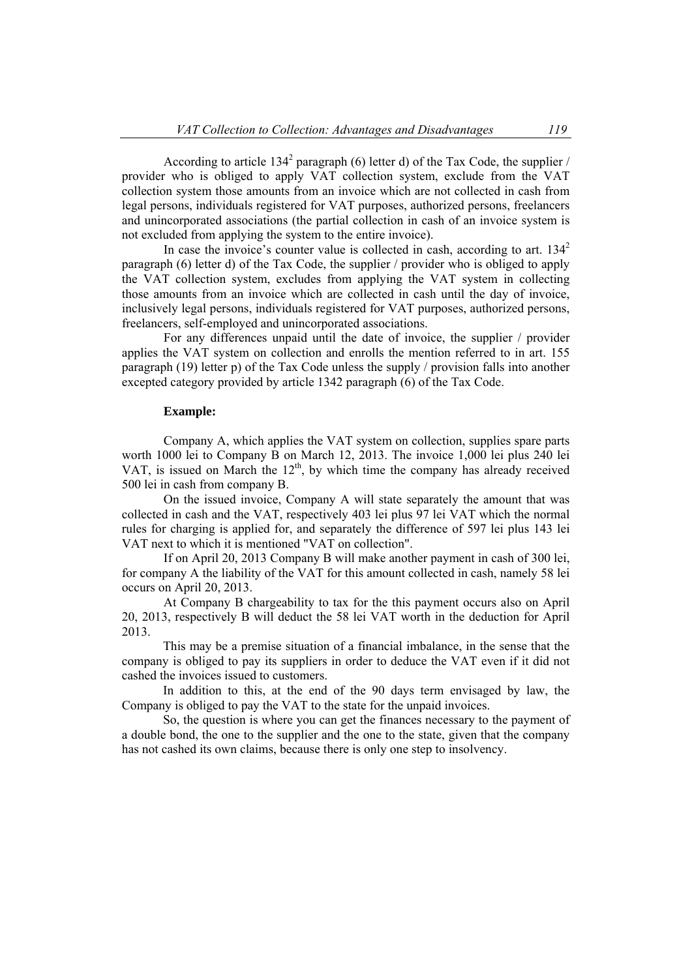According to article 134<sup>2</sup> paragraph (6) letter d) of the Tax Code, the supplier / provider who is obliged to apply VAT collection system, exclude from the VAT collection system those amounts from an invoice which are not collected in cash from legal persons, individuals registered for VAT purposes, authorized persons, freelancers and unincorporated associations (the partial collection in cash of an invoice system is not excluded from applying the system to the entire invoice).

In case the invoice's counter value is collected in cash, according to art.  $134<sup>2</sup>$ paragraph (6) letter d) of the Tax Code, the supplier / provider who is obliged to apply the VAT collection system, excludes from applying the VAT system in collecting those amounts from an invoice which are collected in cash until the day of invoice, inclusively legal persons, individuals registered for VAT purposes, authorized persons, freelancers, self-employed and unincorporated associations.

For any differences unpaid until the date of invoice, the supplier / provider applies the VAT system on collection and enrolls the mention referred to in art. 155 paragraph (19) letter p) of the Tax Code unless the supply / provision falls into another excepted category provided by article 1342 paragraph (6) of the Tax Code.

#### **Example:**

Company A, which applies the VAT system on collection, supplies spare parts worth 1000 lei to Company B on March 12, 2013. The invoice 1,000 lei plus 240 lei VAT, is issued on March the  $12<sup>th</sup>$ , by which time the company has already received 500 lei in cash from company B.

On the issued invoice, Company A will state separately the amount that was collected in cash and the VAT, respectively 403 lei plus 97 lei VAT which the normal rules for charging is applied for, and separately the difference of 597 lei plus 143 lei VAT next to which it is mentioned "VAT on collection".

If on April 20, 2013 Company B will make another payment in cash of 300 lei, for company A the liability of the VAT for this amount collected in cash, namely 58 lei occurs on April 20, 2013.

At Company B chargeability to tax for the this payment occurs also on April 20, 2013, respectively B will deduct the 58 lei VAT worth in the deduction for April 2013.

This may be a premise situation of a financial imbalance, in the sense that the company is obliged to pay its suppliers in order to deduce the VAT even if it did not cashed the invoices issued to customers.

In addition to this, at the end of the 90 days term envisaged by law, the Company is obliged to pay the VAT to the state for the unpaid invoices.

So, the question is where you can get the finances necessary to the payment of a double bond, the one to the supplier and the one to the state, given that the company has not cashed its own claims, because there is only one step to insolvency.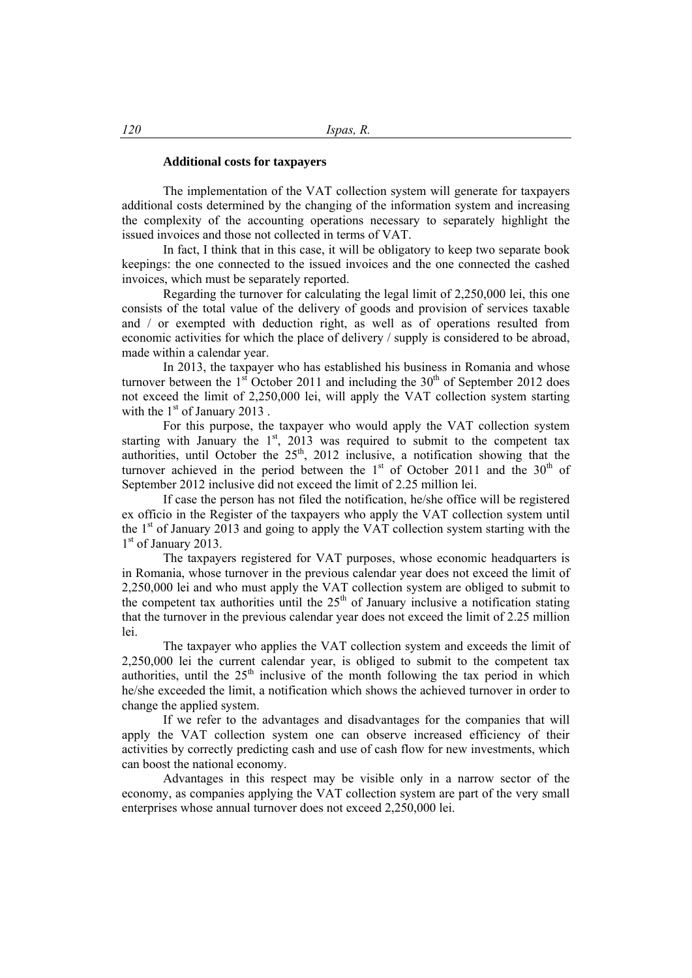### **Additional costs for taxpayers**

The implementation of the VAT collection system will generate for taxpayers additional costs determined by the changing of the information system and increasing the complexity of the accounting operations necessary to separately highlight the issued invoices and those not collected in terms of VAT.

In fact, I think that in this case, it will be obligatory to keep two separate book keepings: the one connected to the issued invoices and the one connected the cashed invoices, which must be separately reported.

Regarding the turnover for calculating the legal limit of 2,250,000 lei, this one consists of the total value of the delivery of goods and provision of services taxable and / or exempted with deduction right, as well as of operations resulted from economic activities for which the place of delivery / supply is considered to be abroad, made within a calendar year.

In 2013, the taxpayer who has established his business in Romania and whose turnover between the  $1<sup>st</sup>$  October 2011 and including the 30<sup>th</sup> of September 2012 does not exceed the limit of 2,250,000 lei, will apply the VAT collection system starting with the  $1<sup>st</sup>$  of January 2013.

For this purpose, the taxpayer who would apply the VAT collection system starting with January the  $1<sup>st</sup>$ , 2013 was required to submit to the competent tax authorities, until October the  $25<sup>th</sup>$ , 2012 inclusive, a notification showing that the turnover achieved in the period between the  $1<sup>st</sup>$  of October 2011 and the  $30<sup>th</sup>$  of September 2012 inclusive did not exceed the limit of 2.25 million lei.

If case the person has not filed the notification, he/she office will be registered ex officio in the Register of the taxpayers who apply the VAT collection system until the  $1<sup>st</sup>$  of January 2013 and going to apply the VAT collection system starting with the 1<sup>st</sup> of January 2013.

The taxpayers registered for VAT purposes, whose economic headquarters is in Romania, whose turnover in the previous calendar year does not exceed the limit of 2,250,000 lei and who must apply the VAT collection system are obliged to submit to the competent tax authorities until the  $25<sup>th</sup>$  of January inclusive a notification stating that the turnover in the previous calendar year does not exceed the limit of 2.25 million lei.

The taxpayer who applies the VAT collection system and exceeds the limit of 2,250,000 lei the current calendar year, is obliged to submit to the competent tax authorities, until the  $25<sup>th</sup>$  inclusive of the month following the tax period in which he/she exceeded the limit, a notification which shows the achieved turnover in order to change the applied system.

If we refer to the advantages and disadvantages for the companies that will apply the VAT collection system one can observe increased efficiency of their activities by correctly predicting cash and use of cash flow for new investments, which can boost the national economy.

Advantages in this respect may be visible only in a narrow sector of the economy, as companies applying the VAT collection system are part of the very small enterprises whose annual turnover does not exceed 2,250,000 lei.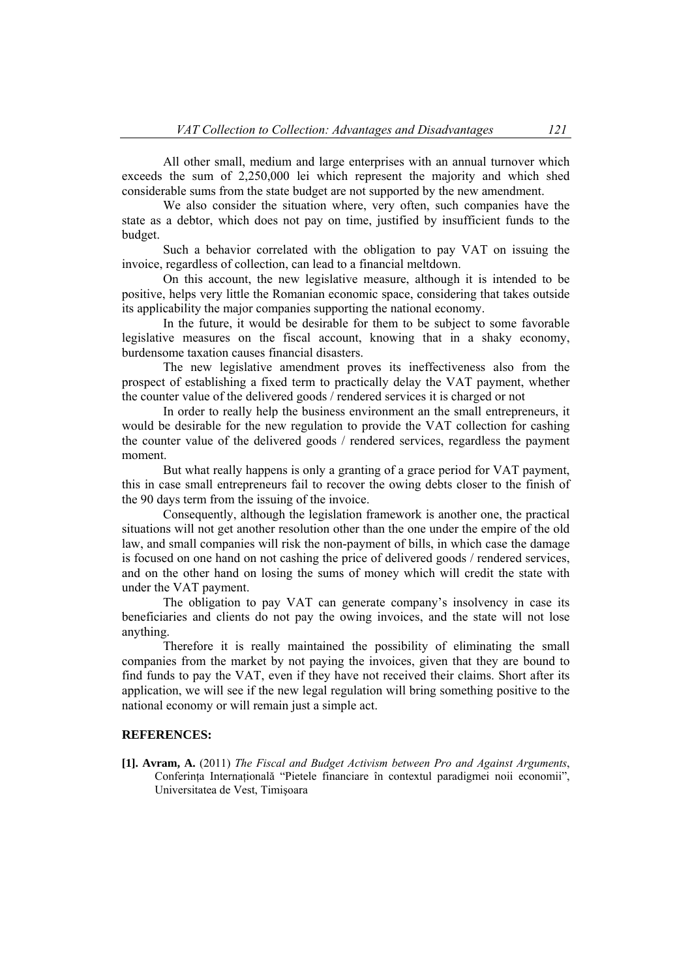All other small, medium and large enterprises with an annual turnover which exceeds the sum of 2,250,000 lei which represent the majority and which shed considerable sums from the state budget are not supported by the new amendment.

We also consider the situation where, very often, such companies have the state as a debtor, which does not pay on time, justified by insufficient funds to the budget.

Such a behavior correlated with the obligation to pay VAT on issuing the invoice, regardless of collection, can lead to a financial meltdown.

On this account, the new legislative measure, although it is intended to be positive, helps very little the Romanian economic space, considering that takes outside its applicability the major companies supporting the national economy.

In the future, it would be desirable for them to be subject to some favorable legislative measures on the fiscal account, knowing that in a shaky economy, burdensome taxation causes financial disasters.

The new legislative amendment proves its ineffectiveness also from the prospect of establishing a fixed term to practically delay the VAT payment, whether the counter value of the delivered goods / rendered services it is charged or not

In order to really help the business environment an the small entrepreneurs, it would be desirable for the new regulation to provide the VAT collection for cashing the counter value of the delivered goods / rendered services, regardless the payment moment.

But what really happens is only a granting of a grace period for VAT payment, this in case small entrepreneurs fail to recover the owing debts closer to the finish of the 90 days term from the issuing of the invoice.

Consequently, although the legislation framework is another one, the practical situations will not get another resolution other than the one under the empire of the old law, and small companies will risk the non-payment of bills, in which case the damage is focused on one hand on not cashing the price of delivered goods / rendered services, and on the other hand on losing the sums of money which will credit the state with under the VAT payment.

The obligation to pay VAT can generate company's insolvency in case its beneficiaries and clients do not pay the owing invoices, and the state will not lose anything.

Therefore it is really maintained the possibility of eliminating the small companies from the market by not paying the invoices, given that they are bound to find funds to pay the VAT, even if they have not received their claims. Short after its application, we will see if the new legal regulation will bring something positive to the national economy or will remain just a simple act.

## **REFERENCES:**

**[1]. Avram, A.** (2011) *The Fiscal and Budget Activism between Pro and Against Arguments*, Conferinţa Internaţională "Pietele financiare în contextul paradigmei noii economii", Universitatea de Vest, Timişoara